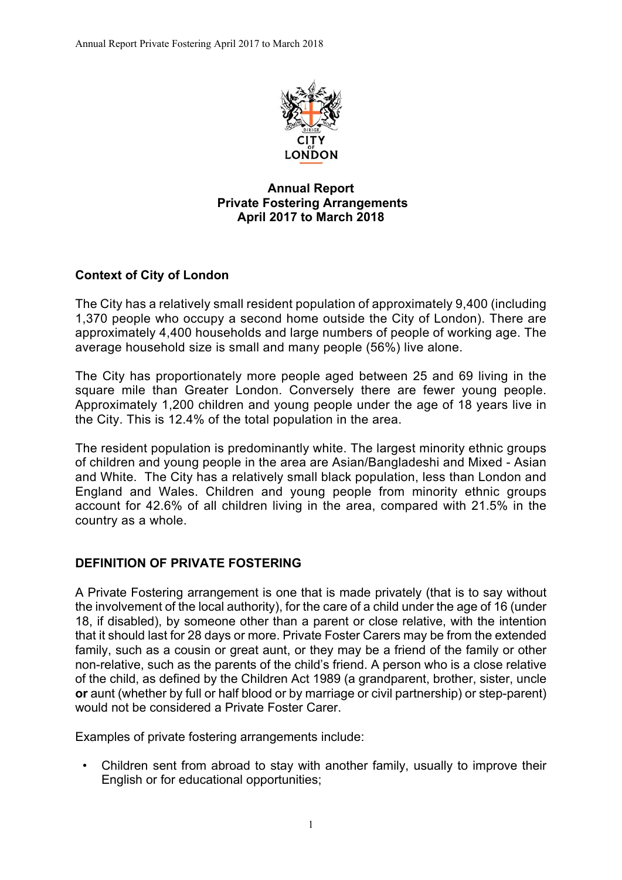

# **Annual Report Private Fostering Arrangements April 2017 to March 2018**

# **Context of City of London**

The City has a relatively small resident population of approximately 9,400 (including 1,370 people who occupy a second home outside the City of London). There are approximately 4,400 households and large numbers of people of working age. The average household size is small and many people (56%) live alone.

The City has proportionately more people aged between 25 and 69 living in the square mile than Greater London. Conversely there are fewer young people. Approximately 1,200 children and young people under the age of 18 years live in the City. This is 12.4% of the total population in the area.

The resident population is predominantly white. The largest minority ethnic groups of children and young people in the area are Asian/Bangladeshi and Mixed - Asian and White. The City has a relatively small black population, less than London and England and Wales. Children and young people from minority ethnic groups account for 42.6% of all children living in the area, compared with 21.5% in the country as a whole.

### **DEFINITION OF PRIVATE FOSTERING**

A Private Fostering arrangement is one that is made privately (that is to say without the involvement of the local authority), for the care of a child under the age of 16 (under 18, if disabled), by someone other than a parent or close relative, with the intention that it should last for 28 days or more. Private Foster Carers may be from the extended family, such as a cousin or great aunt, or they may be a friend of the family or other non-relative, such as the parents of the child's friend. A person who is a close relative of the child, as defined by the Children Act 1989 (a grandparent, brother, sister, uncle **or** aunt (whether by full or half blood or by marriage or civil partnership) or step-parent) would not be considered a Private Foster Carer.

Examples of private fostering arrangements include:

• Children sent from abroad to stay with another family, usually to improve their English or for educational opportunities;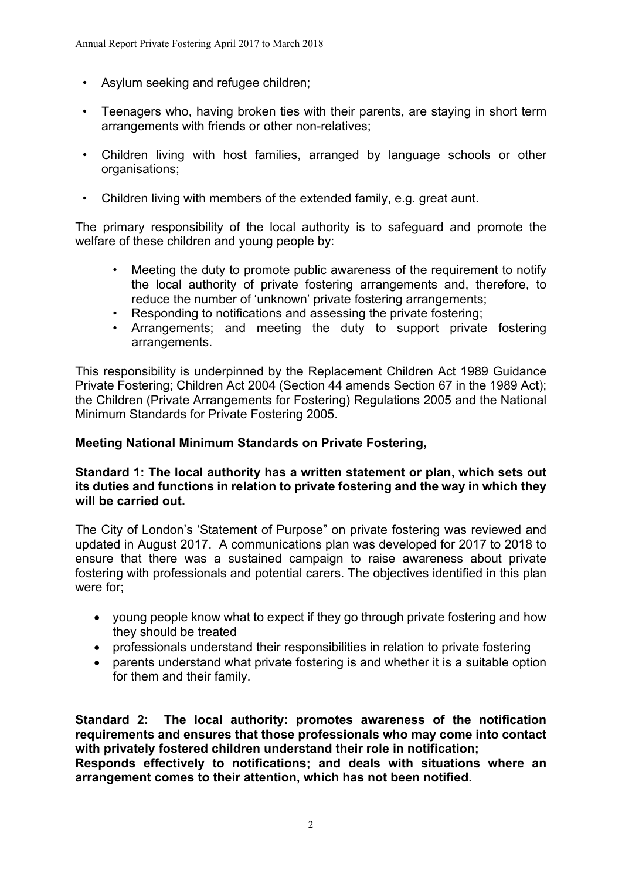- Asylum seeking and refugee children;
- Teenagers who, having broken ties with their parents, are staying in short term arrangements with friends or other non-relatives;
- Children living with host families, arranged by language schools or other organisations;
- Children living with members of the extended family, e.g. great aunt.

The primary responsibility of the local authority is to safeguard and promote the welfare of these children and young people by:

- Meeting the duty to promote public awareness of the requirement to notify the local authority of private fostering arrangements and, therefore, to reduce the number of 'unknown' private fostering arrangements;
- Responding to notifications and assessing the private fostering;
- Arrangements; and meeting the duty to support private fostering arrangements.

This responsibility is underpinned by the Replacement Children Act 1989 Guidance Private Fostering; Children Act 2004 (Section 44 amends Section 67 in the 1989 Act); the Children (Private Arrangements for Fostering) Regulations 2005 and the National Minimum Standards for Private Fostering 2005.

### **Meeting National Minimum Standards on Private Fostering,**

### **Standard 1: The local authority has a written statement or plan, which sets out its duties and functions in relation to private fostering and the way in which they will be carried out.**

The City of London's 'Statement of Purpose" on private fostering was reviewed and updated in August 2017. A communications plan was developed for 2017 to 2018 to ensure that there was a sustained campaign to raise awareness about private fostering with professionals and potential carers. The objectives identified in this plan were for;

- young people know what to expect if they go through private fostering and how they should be treated
- professionals understand their responsibilities in relation to private fostering
- parents understand what private fostering is and whether it is a suitable option for them and their family.

**Standard 2: The local authority: promotes awareness of the notification requirements and ensures that those professionals who may come into contact with privately fostered children understand their role in notification; Responds effectively to notifications; and deals with situations where an arrangement comes to their attention, which has not been notified.**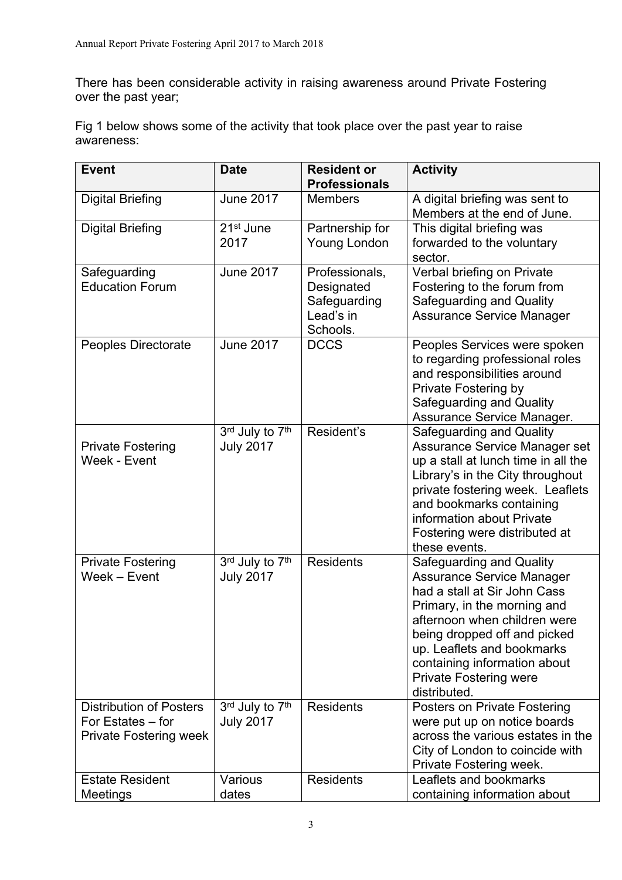There has been considerable activity in raising awareness around Private Fostering over the past year;

Fig 1 below shows some of the activity that took place over the past year to raise awareness:

| <b>Event</b>                                                                         | <b>Date</b>                         | <b>Resident or</b><br><b>Professionals</b>                            | <b>Activity</b>                                                                                                                                                                                                                                                                                            |
|--------------------------------------------------------------------------------------|-------------------------------------|-----------------------------------------------------------------------|------------------------------------------------------------------------------------------------------------------------------------------------------------------------------------------------------------------------------------------------------------------------------------------------------------|
| <b>Digital Briefing</b>                                                              | <b>June 2017</b>                    | <b>Members</b>                                                        | A digital briefing was sent to<br>Members at the end of June.                                                                                                                                                                                                                                              |
| <b>Digital Briefing</b>                                                              | 21 <sup>st</sup> June<br>2017       | Partnership for<br>Young London                                       | This digital briefing was<br>forwarded to the voluntary<br>sector.                                                                                                                                                                                                                                         |
| Safeguarding<br><b>Education Forum</b>                                               | <b>June 2017</b>                    | Professionals,<br>Designated<br>Safeguarding<br>Lead's in<br>Schools. | Verbal briefing on Private<br>Fostering to the forum from<br>Safeguarding and Quality<br><b>Assurance Service Manager</b>                                                                                                                                                                                  |
| Peoples Directorate                                                                  | <b>June 2017</b>                    | <b>DCCS</b>                                                           | Peoples Services were spoken<br>to regarding professional roles<br>and responsibilities around<br>Private Fostering by<br>Safeguarding and Quality<br>Assurance Service Manager.                                                                                                                           |
| <b>Private Fostering</b><br>Week - Event                                             | 3rd July to 7th<br><b>July 2017</b> | Resident's                                                            | Safeguarding and Quality<br>Assurance Service Manager set<br>up a stall at lunch time in all the<br>Library's in the City throughout<br>private fostering week. Leaflets<br>and bookmarks containing<br>information about Private<br>Fostering were distributed at<br>these events.                        |
| <b>Private Fostering</b><br>Week - Event                                             | 3rd July to 7th<br><b>July 2017</b> | <b>Residents</b>                                                      | Safeguarding and Quality<br><b>Assurance Service Manager</b><br>had a stall at Sir John Cass<br>Primary, in the morning and<br>afternoon when children were<br>being dropped off and picked<br>up. Leaflets and bookmarks<br>containing information about<br><b>Private Fostering were</b><br>distributed. |
| <b>Distribution of Posters</b><br>For Estates – for<br><b>Private Fostering week</b> | 3rd July to 7th<br><b>July 2017</b> | <b>Residents</b>                                                      | Posters on Private Fostering<br>were put up on notice boards<br>across the various estates in the<br>City of London to coincide with<br>Private Fostering week.                                                                                                                                            |
| <b>Estate Resident</b><br>Meetings                                                   | Various<br>dates                    | <b>Residents</b>                                                      | Leaflets and bookmarks<br>containing information about                                                                                                                                                                                                                                                     |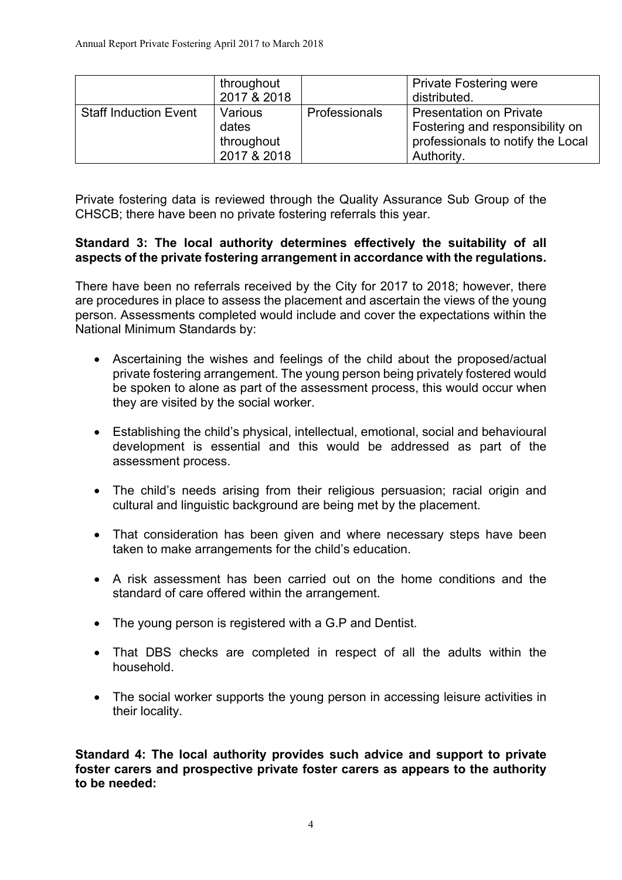|                              | throughout<br>2017 & 2018                     |               | <b>Private Fostering were</b><br>distributed.                                                                        |
|------------------------------|-----------------------------------------------|---------------|----------------------------------------------------------------------------------------------------------------------|
| <b>Staff Induction Event</b> | Various<br>dates<br>throughout<br>2017 & 2018 | Professionals | <b>Presentation on Private</b><br>Fostering and responsibility on<br>professionals to notify the Local<br>Authority. |

Private fostering data is reviewed through the Quality Assurance Sub Group of the CHSCB; there have been no private fostering referrals this year.

## **Standard 3: The local authority determines effectively the suitability of all aspects of the private fostering arrangement in accordance with the regulations.**

There have been no referrals received by the City for 2017 to 2018; however, there are procedures in place to assess the placement and ascertain the views of the young person. Assessments completed would include and cover the expectations within the National Minimum Standards by:

- Ascertaining the wishes and feelings of the child about the proposed/actual private fostering arrangement. The young person being privately fostered would be spoken to alone as part of the assessment process, this would occur when they are visited by the social worker.
- Establishing the child's physical, intellectual, emotional, social and behavioural development is essential and this would be addressed as part of the assessment process.
- The child's needs arising from their religious persuasion; racial origin and cultural and linguistic background are being met by the placement.
- That consideration has been given and where necessary steps have been taken to make arrangements for the child's education.
- A risk assessment has been carried out on the home conditions and the standard of care offered within the arrangement.
- The young person is registered with a G.P and Dentist.
- That DBS checks are completed in respect of all the adults within the household.
- The social worker supports the young person in accessing leisure activities in their locality.

**Standard 4: The local authority provides such advice and support to private foster carers and prospective private foster carers as appears to the authority to be needed:**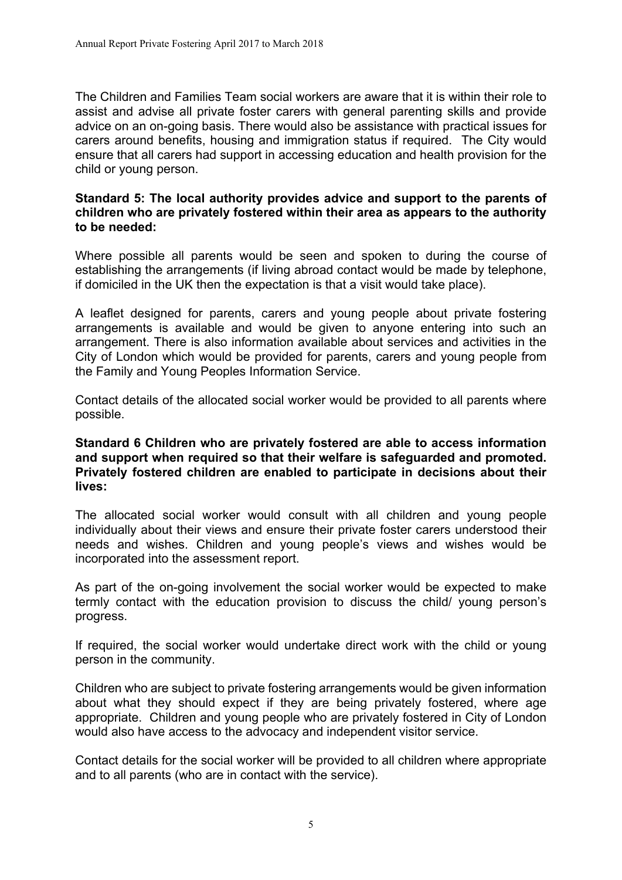The Children and Families Team social workers are aware that it is within their role to assist and advise all private foster carers with general parenting skills and provide advice on an on-going basis. There would also be assistance with practical issues for carers around benefits, housing and immigration status if required. The City would ensure that all carers had support in accessing education and health provision for the child or young person.

#### **Standard 5: The local authority provides advice and support to the parents of children who are privately fostered within their area as appears to the authority to be needed:**

Where possible all parents would be seen and spoken to during the course of establishing the arrangements (if living abroad contact would be made by telephone, if domiciled in the UK then the expectation is that a visit would take place).

A leaflet designed for parents, carers and young people about private fostering arrangements is available and would be given to anyone entering into such an arrangement. There is also information available about services and activities in the City of London which would be provided for parents, carers and young people from the Family and Young Peoples Information Service.

Contact details of the allocated social worker would be provided to all parents where possible.

#### **Standard 6 Children who are privately fostered are able to access information and support when required so that their welfare is safeguarded and promoted. Privately fostered children are enabled to participate in decisions about their lives:**

The allocated social worker would consult with all children and young people individually about their views and ensure their private foster carers understood their needs and wishes. Children and young people's views and wishes would be incorporated into the assessment report.

As part of the on-going involvement the social worker would be expected to make termly contact with the education provision to discuss the child/ young person's progress.

If required, the social worker would undertake direct work with the child or young person in the community.

Children who are subject to private fostering arrangements would be given information about what they should expect if they are being privately fostered, where age appropriate. Children and young people who are privately fostered in City of London would also have access to the advocacy and independent visitor service.

Contact details for the social worker will be provided to all children where appropriate and to all parents (who are in contact with the service).